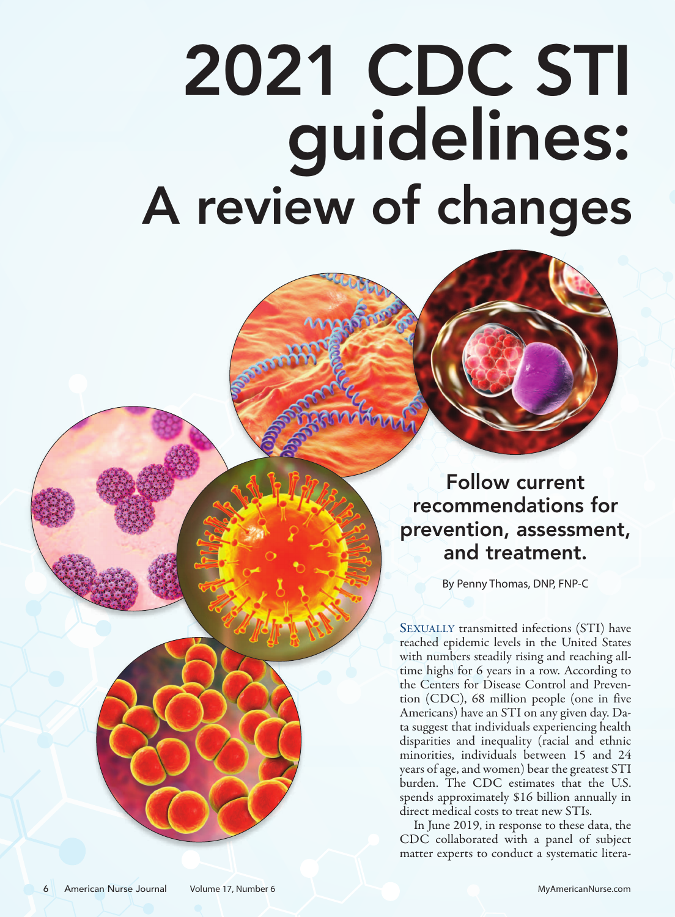# 2021 CDC STI guidelines: A review of changes



Follow current recommendations for prevention, assessment, and treatment.

By Penny Thomas, DNP, FNP-C

SEXUALLY transmitted infections (STI) have reached epidemic levels in the United States with numbers steadily rising and reaching alltime highs for 6 years in a row. According to the Centers for Disease Control and Prevention (CDC), 68 million people (one in five Americans) have an STI on any given day. Data suggest that individuals experiencing health disparities and inequality (racial and ethnic minorities, individuals between 15 and 24 years of age, and women) bear the greatest STI burden. The CDC estimates that the U.S. spends approximately \$16 billion annually in direct medical costs to treat new STIs.

In June 2019, in response to these data, the CDC collaborated with a panel of subject matter experts to conduct a systematic litera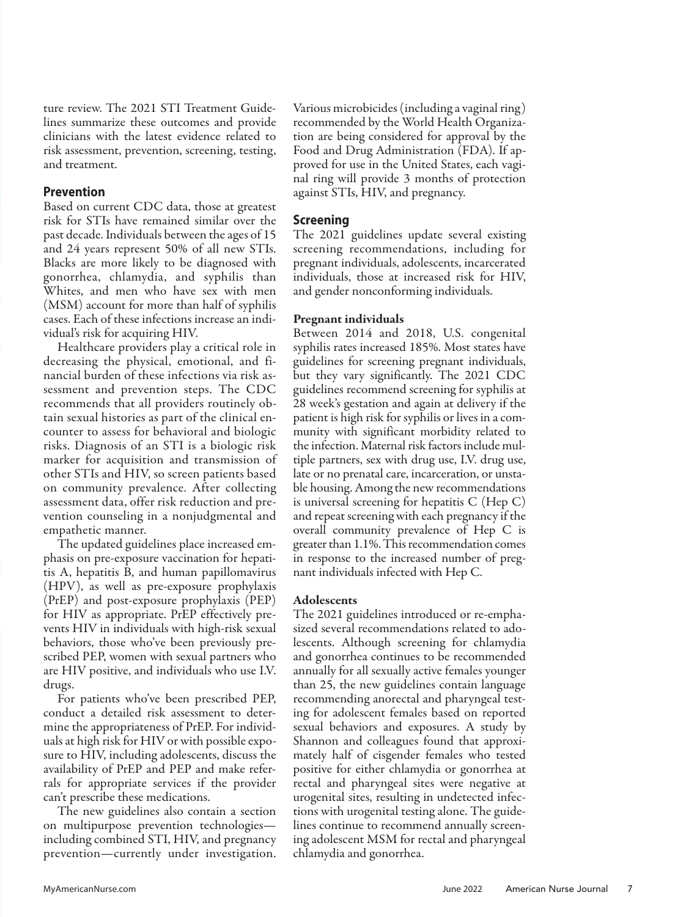ture review. The 2021 STI Treatment Guidelines summarize these outcomes and provide clinicians with the latest evidence related to risk assessment, prevention, screening, testing, and treatment.

#### **Prevention**

Based on current CDC data, those at greatest risk for STIs have remained similar over the past decade. Individuals between the ages of 15 and 24 years represent 50% of all new STIs. Blacks are more likely to be diagnosed with gonorrhea, chlamydia, and syphilis than Whites, and men who have sex with men (MSM) account for more than half of syphilis cases. Each of these infections increase an individual's risk for acquiring HIV.

Healthcare providers play a critical role in decreasing the physical, emotional, and financial burden of these infections via risk assessment and prevention steps. The CDC recommends that all providers routinely obtain sexual histories as part of the clinical encounter to assess for behavioral and biologic risks. Diagnosis of an STI is a biologic risk marker for acquisition and transmission of other STIs and HIV, so screen patients based on community prevalence. After collecting assessment data, offer risk reduction and prevention counseling in a nonjudgmental and empathetic manner.

The updated guidelines place increased emphasis on pre-exposure vaccination for hepatitis A, hepatitis B, and human papillomavirus (HPV), as well as pre-exposure prophylaxis (PrEP) and post-exposure prophylaxis (PEP) for HIV as appropriate. PrEP effectively prevents HIV in individuals with high-risk sexual behaviors, those who've been previously prescribed PEP, women with sexual partners who are HIV positive, and individuals who use I.V. drugs.

For patients who've been prescribed PEP, conduct a detailed risk assessment to determine the appropriateness of PrEP. For individuals at high risk for HIV or with possible exposure to HIV, including adolescents, discuss the availability of PrEP and PEP and make referrals for appropriate services if the provider can't prescribe these medications.

The new guidelines also contain a section on multipurpose prevention technologies including combined STI, HIV, and pregnancy prevention—currently under investigation.

Various microbicides (including a vaginal ring) recommended by the World Health Organization are being considered for approval by the Food and Drug Administration (FDA). If approved for use in the United States, each vaginal ring will provide 3 months of protection against STIs, HIV, and pregnancy.

### **Screening**

The 2021 guidelines update several existing screening recommendations, including for pregnant individuals, adolescents, incarcerated individuals, those at increased risk for HIV, and gender nonconforming individuals.

#### **Pregnant individuals**

Between 2014 and 2018, U.S. congenital syphilis rates increased 185%. Most states have guidelines for screening pregnant individuals, but they vary significantly. The 2021 CDC guidelines recommend screening for syphilis at 28 week's gestation and again at delivery if the patient is high risk for syphilis or lives in a community with significant morbidity related to the infection. Maternal risk factors include multiple partners, sex with drug use, I.V. drug use, late or no prenatal care, incarceration, or unstable housing. Among the new recommendations is universal screening for hepatitis C (Hep C) and repeat screening with each pregnancy if the overall community prevalence of Hep C is greater than 1.1%. This recommendation comes in response to the increased number of pregnant individuals infected with Hep C.

#### **Adolescents**

The 2021 guidelines introduced or re-emphasized several recommendations related to adolescents. Although screening for chlamydia and gonorrhea continues to be recommended annually for all sexually active females younger than 25, the new guidelines contain language recommending anorectal and pharyngeal testing for adolescent females based on reported sexual behaviors and exposures. A study by Shannon and colleagues found that approximately half of cisgender females who tested positive for either chlamydia or gonorrhea at rectal and pharyngeal sites were negative at urogenital sites, resulting in undetected infections with urogenital testing alone. The guidelines continue to recommend annually screening adolescent MSM for rectal and pharyngeal chlamydia and gonorrhea.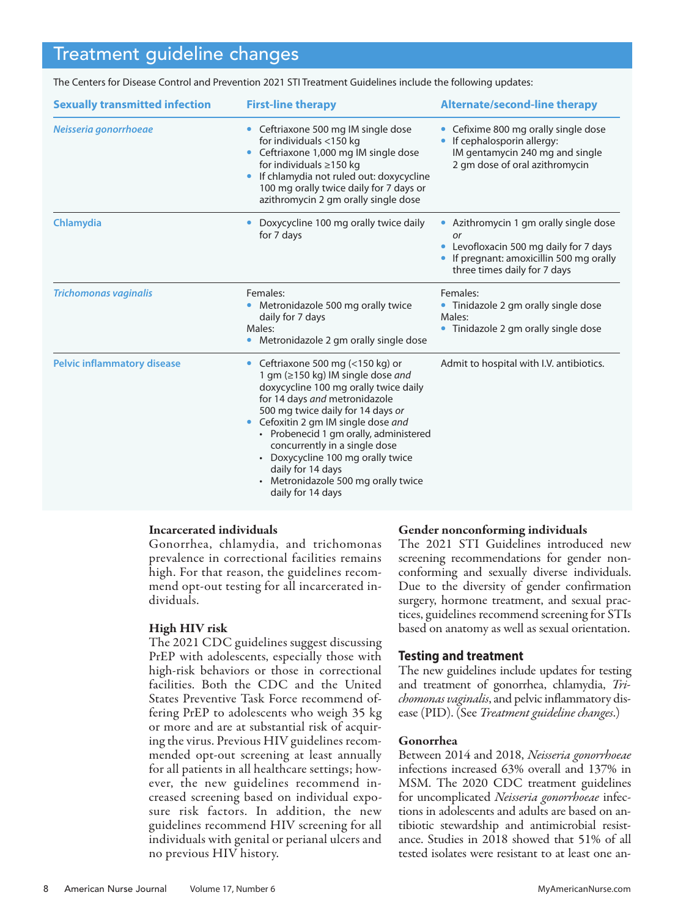## Treatment guideline changes

l

| <b>Sexually transmitted infection</b> | <b>First-line therapy</b>                                                                                                                                                                                                                                                                                                                                                                                                            | <b>Alternate/second-line therapy</b>                                                                                                                                      |
|---------------------------------------|--------------------------------------------------------------------------------------------------------------------------------------------------------------------------------------------------------------------------------------------------------------------------------------------------------------------------------------------------------------------------------------------------------------------------------------|---------------------------------------------------------------------------------------------------------------------------------------------------------------------------|
| Neisseria gonorrhoeae                 | Ceftriaxone 500 mg IM single dose<br>$\bullet$<br>for individuals <150 kg<br>Ceftriaxone 1,000 mg IM single dose<br>for individuals $\geq$ 150 kg<br>If chlamydia not ruled out: doxycycline<br>100 mg orally twice daily for 7 days or<br>azithromycin 2 gm orally single dose                                                                                                                                                      | Cefixime 800 mg orally single dose<br>If cephalosporin allergy:<br>IM gentamycin 240 mg and single<br>2 gm dose of oral azithromycin                                      |
| Chlamydia                             | Doxycycline 100 mg orally twice daily<br>for 7 days                                                                                                                                                                                                                                                                                                                                                                                  | Azithromycin 1 gm orally single dose<br>or<br>Levofloxacin 500 mg daily for 7 days<br>$\bullet$<br>If pregnant: amoxicillin 500 mg orally<br>three times daily for 7 days |
| <b>Trichomonas vaginalis</b>          | Females:<br>Metronidazole 500 mg orally twice<br>daily for 7 days<br>Males:<br>Metronidazole 2 gm orally single dose                                                                                                                                                                                                                                                                                                                 | Females:<br>• Tinidazole 2 gm orally single dose<br>Males:<br>• Tinidazole 2 qm orally single dose                                                                        |
| <b>Pelvic inflammatory disease</b>    | Ceftriaxone 500 mg (<150 kg) or<br>$\bullet$<br>1 gm (≥150 kg) IM single dose and<br>doxycycline 100 mg orally twice daily<br>for 14 days and metronidazole<br>500 mg twice daily for 14 days or<br>Cefoxitin 2 gm IM single dose and<br>• Probenecid 1 gm orally, administered<br>concurrently in a single dose<br>• Doxycycline 100 mg orally twice<br>daily for 14 days<br>Metronidazole 500 mg orally twice<br>daily for 14 days | Admit to hospital with I.V. antibiotics.                                                                                                                                  |

The Centers for Disease Control and Prevention 2021 STI Treatment Guidelines include the following updates:

#### **Incarcerated individuals**

Gonorrhea, chlamydia, and trichomonas prevalence in correctional facilities remains high. For that reason, the guidelines recommend opt-out testing for all incarcerated individuals.

#### **High HIV risk**

The 2021 CDC guidelines suggest discussing PrEP with adolescents, especially those with high-risk behaviors or those in correctional facilities. Both the CDC and the United States Preventive Task Force recommend offering PrEP to adolescents who weigh 35 kg or more and are at substantial risk of acquiring the virus. Previous HIV guidelines recommended opt-out screening at least annually for all patients in all healthcare settings; however, the new guidelines recommend increased screening based on individual exposure risk factors. In addition, the new guidelines recommend HIV screening for all individuals with genital or perianal ulcers and no previous HIV history.

#### **Gender nonconforming individuals**

The 2021 STI Guidelines introduced new screening recommendations for gender nonconforming and sexually diverse individuals. Due to the diversity of gender confirmation surgery, hormone treatment, and sexual practices, guidelines recommend screening for STIs based on anatomy as well as sexual orientation.

#### **Testing and treatment**

The new guidelines include updates for testing and treatment of gonorrhea, chlamydia, *Trichomonas vaginalis*, and pelvic inflammatory disease (PID). (See *Treatment guideline changes*.)

#### **Gonorrhea**

Between 2014 and 2018, *Neisseria gonorrhoeae* infections increased 63% overall and 137% in MSM. The 2020 CDC treatment guidelines for uncomplicated *Neisseria gonorrhoeae* infections in adolescents and adults are based on antibiotic stewardship and antimicrobial resistance. Studies in 2018 showed that 51% of all tested isolates were resistant to at least one an